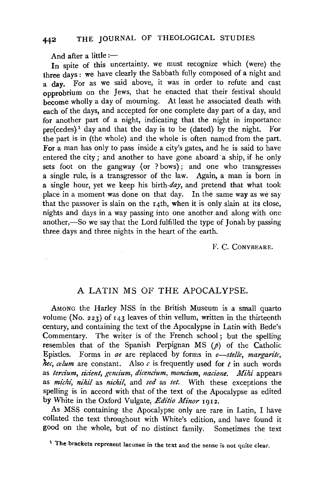And after a little  $:=$ 

In spite of this uncertainty, we must recognize which (were) the three days: we have clearly the Sabbath fully composed of a night and a day. For as we said above, it was in order to refute and cast opprobrium on the Jews, that he enacted that their festival should become wholly a day of mourning. At least he associated death with each of the days, and accepted for one complete day part of a day, and for another part of a night, indicating that the night in importance pre(cedes)<sup>1</sup> day and that the day is to be (dated) by the night. For the part is in (the whole) and the whole is often named from the part. For a man has only to pass inside a city's gates, and he is said to have entered the city; and another to have gone aboard a ship, if he only sets foot on the gangway (or ? bows); and one who transgresses a single rule, is a transgressor of the law. Again, a man is born in a single hour, yet we keep his *birth-day,* and pretend that what took place in a moment was done on that day. In the same way as we say that the passover is slain on the  $I_4$ th, when it is only slain at its close, nights and days in a way passing into one another and along with one another,—So we say that the Lord fulfilled the type of  $T$  onah by passing three days and three nights in the heart of the earth.

## F. C. CoNYBEARE.

## A LATIN MS OF THE APOCALYPSE.

AMONG the Harley MSS in the British Museum is a small quarto volume (No. 223) of  $143$  leaves of thin vellum, written in the thirteenth century, and containing the text of the Apocalypse in Latin with Bede's Commentary. The writer is of the French school; but the spelling resembles that of the Spanish Perpignan MS  $(p)$  of the Catholic Epistles. Forms in *ae* are replaced by forms in *e-stelle, margarite, hec, celum* are constant. Also *c* is frequently used for *t* in such words as *tercium, sicient, gencium, dicencium, moncium, nacione. Mihi* appears as *michi*, *nihil* as *nichil*, and *sed* as *set*. With these exceptions the spelling is in accord with that of the text of the Apocalypse as edited by White in the Oxford Vulgate, *Editio Minor* 1912.

As MSS containing the Apocalypse only are rare in Latin, I have collated the text throughout with White's edition, and have found it good on the whole, but of no distinct family. Sometimes the text

<sup>&</sup>lt;sup>1</sup> The brackets represent lacunae in the text and the sense is not quite clear.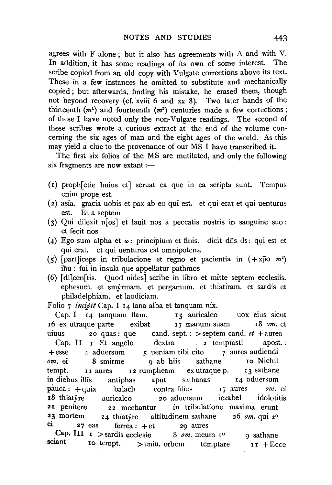agrees with F alone; but it also has agreements with A and with V. In addition, it has some readings of its own of some interest. The scribe copied from an old copy with Vulgate corrections above its text. These in a few instances he omitted to substitute and mechanically copied ; but afterwards, finding his mistake, he erased them, though not beyond recovery (cf. xviii 6 and xx 8). Two later hands of the hirteenth  $(m<sup>1</sup>)$  and fourteenth  $(m<sup>2</sup>)$  centuries made a few corrections; of these I have noted only the non-Vulgate readings. The second of these scribes wrote a curious extract at the end of the volume concerning the six ages of man and the eight ages of the world. As this may yield a clue to the provenance of our MS I have transcribed it.

The first six folios of the MS are mutilated, and only the following  $s$ ix fragments are now extant: $-$ 

- (I) proph[etie huius et] seruat ea que m ea scripta sunt. Tempus enim prope est.
- ( 2) asia. gracia uobis et pax ab eo qui est. et qui erat et qui uenturus est. Et a septem
- (3) Qui dilexit n $\lceil \cos \rceil$  et lauit nos a peccatis nostris in sanguine suo : et fecit nos
- (4) Ego sum alpha et  $\omega$ : principium et finis. dicit dis ds: qui est et qui erat. et qui uenturus est omnipotens.
- (s)  $\int$ part liceps in tribulacione et regno et pacientia in  $( + x\bar{p}o \ \textit{m}^2)$ ihu : fui in insula que appellatur pathmos
- (6) [di]cen[tis. Quod uides] scribe in libro et mitte septem ecclesiis. ephesum. et smyrmam. et pergamum. et thiatiram. et sardis et philadelphiam. et laodiciam.

Folio 7 *incipit* Cap. I 14 lana alba et tanquam nix.<br>Cap. I 14 tanquam flam. I5 auricalco Cap. I 14 tanquam flam. 15 auricalco uox eius sicut I6 ex utraque parte exibat 17 manum suam I8 *om.* et und 20 quas: que cand. sept. : > septem cand. *et* + aurea Cap. II  $r$  Et angelo dextra  $r$  is temptasti apost. :  $+$ esse 4 aduersum  $\epsilon$  ueniam tibi cito 7 aures audiendi *om.* ei 8 smirme 9 ab hiis sathane Io Nichil tempt. I aures I 2 rumpheam ex utraque p. I 3 sathane in diebus illis antiphas aput sathanas I4 aduersum pauca: +quia balach contra filios 17 aures om. ei i8 thiatyre auricalco 20 aduersum iezabel idolotitis 21 penitere 22 mechantur in tribulatione maxima erunt 2~ mortem 24 thiatyre altitudinem sathane 26 *om.* qui 2°  $\frac{24}{4}$  tinatyle antituation such  $\frac{27}{4}$  eas ferres:  $\frac{1}{4}$  at 29 aures **27** eas ferrea:  $+et$  29 aures<br>Cap. III **I** > sardis ecclesie 8 *om*. meum  $I^0$ 

sciant ro tempt. > uniu. orbem temptare 9 sathane  $II + E$ cce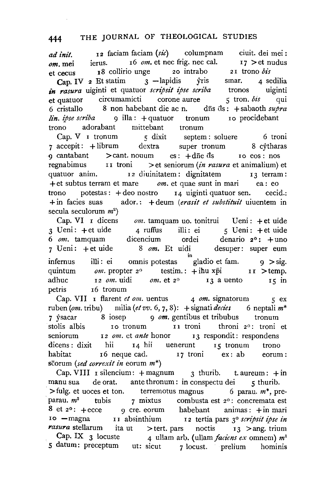## 444 THE JOURNAL OF THEOLOGICAL STUDIES

*ad init.* **I2** faciam faciam (sic) columpnam ciuit. dei mei :  $om.$  mei ierus. If *om.* et nec frig. nec cal. I7 > et nudus et cecus I8 collirio unge 20 intrabo 2 I trono *bis*  Cap. IV 2 Et statim  $3$  -lapidis yris smar. 4 sedilia *in rasura* uiginti et quatuor *scripsit ipse scriba* tronos uiginti et quatuor circumamicti corone auree 5 tron. *bis* qui 6 cristallo 8 non habebant die ac n. dfis ds : + sabaoth *supra lin. ipse scriba* 9 illa: + quatuor tronum io procidebant trono adorabant mittebant tronum

Cap. V I tronum *5* dixit septem : soluere 6 troni 7 accepit : + librum dextra super tronum 8 cytharas 9 cantabant  $\geq$  cant. nouum es:  $+$ d $\overline{a}$  es io eos: nos regnabimus I I troni >et seniorum *(in rasura* et animalium) et quatuor anim. I2 diuinitatem: dignitatem I3 terram: +et subtus terram et mare *om.* et quae sunt in mari ea: eo trono potestas:  $+$  deo nostro  $-14$  uiginti quatuor sen. cecid.: +in facies suas ad or. : + deum ( *erasit et substituit* uiuentem in secula seculorum  $m^2$ )

Cap. VI r dicens 3 Ueni: +et uide *om.* tamquam uo. tonitrui Ueni: +et uide 4 ruffus illi: ei  $5$  U eni : +et uide 6 *om.* tamquam dicencium ordei denario 2° : +uno 7 Ueni: +et uide 8 om. Et uidi desuper: super eum infernus illi: ei omnis potestas "gladio et fam. 9 > sig. quintum  $om.$  propter  $2^{\circ}$  testim.: +ihu xpi II >temp. adhuc  $12 \text{ cm}$ . uidi  $\text{ cm}$ . et  $2^{\circ}$  I3 a uento I5 in petris 16 tronum

Cap. VII I flarent *et om*. uentus 4 *om.* signatorum 5 ex ruben (om. tribu) *milia* (et vv. 6, 7, 8): + signati decies 6 neptali  $m^*$ 7 ysacar 8 iosep 9 *om.* gentibus et tribubus tronum stolis albis Io tronum II troni throni 2°: troni et seniorum I 2 *om.* et *ante* honor I 3 respondit : respondens dicens: dixit hii 14 hii uenerunt 15 tronum trono habitat I 6 neque cad. I 7 troni ex: ab eorum: scorum *(sed correxit in* eorum m\*)

Cap. VIII I silencium:  $+$ magnum 3 thurib. t. aureum:  $+$ in manu sua de orat. ante thronum : in conspectu dei 5 thurib.  $>$ fulg. et uoces et ton. terremotus magnus 6 parau.  $m^*$ , preparau.  $m^2$  tubis 7 mixtus combusta est  $2^0$ : concremata est 8 et  $2^{\circ}$ :  $+$  ecce  $\qquad$  9 cre. eorum habebant animas:  $+$  in mari Io -magna I I absinthium I2 tertia pars 3° *scripsit ipse in rasura* stellarum ita ut >tert. pars noctis 13 >ang. trium Cap. IX  $\,$  3 locuste  $\,$  4 ullam arb. (ullam *faciens ex* omnem)  $m<sup>1</sup>$ *5* datum: preceptum ut: sicut 7 locust. prelium hominis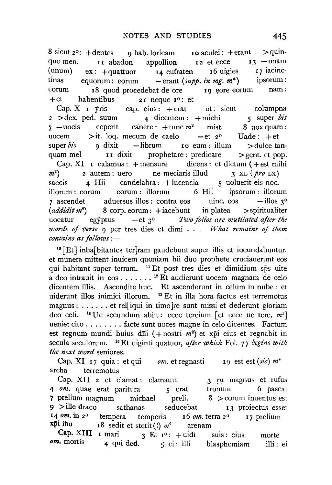8 sicut 2°:  $+$  dentes 9 hab. loricam I o aculei:  $+$  erant  $\ge$  quin-<br>que men. II abadon appollion I 2 et ecce I 3 - unam que men. It abadon appollion  $12$  et ecce  $13$  -unam<br>(unum)  $ex: +$ quattuor  $14$  eufraten 16 uigies  $17$  iacinc-(unum) ex: +quattuor I4 eufraten I6 uigies I7 iacinctinas equorum: eorum - erant *(supp. z'n mg.* m\*) ipsorum: eorum I8 quod procedebat de ore II9 eore eorum nam:<br>  $+et$  habentibus 21 neque 1<sup>0</sup>: et

et habentibus 21 neque  $I^0$ : et Cap. X I yris cap. eius: + erat Cap. X I yris cap. eius:  $+\text{erat}$  ut: sicut columpna<br>2 > dex. ped. suum 4 dicentem:  $+\text{michi}$  5 super bis 2 >dex. ped. suum  $\frac{4 \text{ dicentem} : + \text{michi}}{4 \text{ dicentem} : + \text{tunc } m^2}$  mist. 8 uox quam : 7 -uocis ceperit canere:  $+\text{tunc } m^2$  mist. 8 uox quam:<br>uocem >it. log. mecum de caelo -et  $z^{\circ}$  Uade: +et  $>$ it. loq. mecum de caelo  $-$ et 2<sup>o</sup> Uade:  $+$ et  $\alpha$  dixit  $-$ librum ro eum : illum  $>$ dulce tansuper  $\delta i$  9 dixit -librum 10 eum : illum >dulce tan-<br>quam mel 11 dixit prophetare : predicare >gent. et pop. prophetare : predicare  $\ge$  gent. et pop.<br>ensure dicens : et dictum (+est mihi Cap. XI I calamus: + mensure dicens: et dictum (+ est mil)<br>
2 autem: uero ne meciaris illud 3 xL ( $\phi r \sigma$  Lx) m<sup>2</sup>)<br>saccis ) 2 autem: uero ne meciaris illud 3 XL *(pro* LX) sandelabra : + lucencia *5* uoluerit eis noc.<br>
state orum : illorum *6* Hii *ipsorum* : illorum illorum : eorum eorum : illorum 6 Hii ipsorum : illorum<br>  $\sigma$  ascendet aduersus illos : contra eos uinc. eos -illos  $\sigma$ <sup>o</sup> aduersus illos : contra eos uinc. eos -illos  $3^{\circ}$ <br>8 corp. eorum : + iacebunt in platea > spiritualiter *(addz'dz't* m2  $8$  corp. eorum:  $+$ iacebunt uocatur egyptus —et 3<sup>°</sup> *Two folios are mutilated after the words of verse*  $9$  per tres dies et dimi . . . *What remains of them*  $contains$  as follows :-

10 [Et] inha[bitantes ter]ram gaudebunt super illis et iocundabuntur. et munera mittent inuicem quoniam hii duo prophete cruciauerunt eos qui habitant super terram. <sup>11</sup> Et post tres dies et dimidium sps uite a deo intrauit in eos ......<sup>12</sup> Et audierunt uocem magnam de celo dicentem illis. Ascendite hue. Et ascenderunt in celum in nube : et uiderunt illos inimici illorum. 18 Et in ilia hora factus est terremotus magnus : ...... et rel[iqui in timo ]re sunt missi et dederunt gloriam deo celi. <sup>14</sup> Ue secundum abiit: ecce tercium [et ecce ue terc.  $m<sup>1</sup>$ ] ueniet cito . . . . . . . . facte sunt uoces magne in celo dicentes. Factum est regnum mundi huius dni (+ nostri  $m^2$ ) et xpi eius et regnabit in secula seculorum. <sup>16</sup> Et uiginti quatuor, *after which* Fol. 77 *begins with the next word* seniores.

Cap. XI 17 quia : et qui *om.* et regnasti 19 est est  $(sic)$   $m^*$ archa terremotus

Cap. XII 2 et clamat: clamauit 3 ru magnus et rufus  $\omega m$ . quae erat paritura 5 erat tronum 6 pascat 4 *om*. quae erat paritura *5* erat tronum 6 pascat<br>7 prelium magnum michael preli. 8 > eorum inuentus est  $\text{michael}$  preli. 8 > eorum inuentus est  $9$  >ille draco sathanas seducebat  $13$  proiectus esset 14 *om.* in 2<sup>0</sup> tempera temperis 16 *om.* terra 2<sup>0</sup> 17 prelium<br>**xpi ihu** 18 sedit et stetit (!)  $m^2$  arenam  $x^2$  is sedit et stetit (!)  $m^2$  arenam

Cap. XIII 1 mari 3 Et  $I^{\circ}:$  + uidi  $\theta$  m. mortis 4 qui ded. 5 ei : illi suis: eius blasphemiam morte illi: ei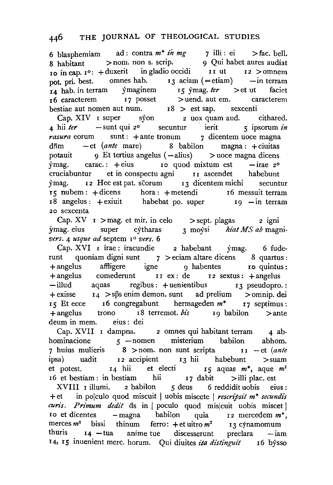6 blasphemiam ad: contra  $m^*$  *in mg* 7 illi: ei > fac. bell. 8 habitant >nom. non s. scrip. 9 Qui habet aures audiat  $10$  in cap.  $I^0$ : + duxerit in gladio occidi II ut  $I^2$  > omnem pot. pri. best. omnes hab. I 3 aciam (= etiam) -in terram 14 hab. in terram ymaginem 15 ymag. *ter* > et ut faciet  $16$  caracterem  $17$  posset  $>$  uend. aut em. caracterem bestiae aut nomen aut num.  $r^8 > 0$ est sap. sexcenti

Cap. XIV I super syon 2 uox quam aud. cithared. 4 hii ter - sunt qui 2° secuntur ierit 5 ipsorum in *rasura* eorum sunt : +ante tronum 7 dicentem uoce magna d<del>nm</del> -et (ante mare) 8 babilon magna: +ciuitas potauit 9 Et tertius angelus ( -alius) >uoce magna dicens  $\gamma$ mag. carac.: + eius I o quod mixtum est - irae 2<sup>o</sup> cruciabuntur et in conspectu agni II ascendet habebunt ymag. I 2 Hec est pat. scorum I3 dicentem michi secuntur rs nubem: +dicens hora: +metendi I6 messuit terram 18 angelus: + exiuit habebat po. super 19 -in terram 20 sexcenta

Cap.  $XV$   $I >$  mag. et mir. in celo  $>$  sept. plagas 2 igni ymag. eius super cjtharas 3 moysi *hiat MS ab* magni*vers.* 4 *usque ad* septem  $I^{\circ}$  *vers.* 6

Cap. XVI I irae : iracundie 2 habebant ymag. 6 fuderunt quoniam digni sunt  $7 >$ eciam altare dicens 8 quartus : +angelus affligere igne 9 habentes ro quintus: +angelus comederunt II ex: de I2 sextus: +angelus -illud aquas regibus: + uenientibus 13 pseudopro.: +exisse I4 >sps enim demon. sunt ad prelium >omnip. dei IS Et ecce r6 congregabunt hermageden *m\** 17 septimus: +angelus trono I8 terremot. *bis* 19 babilon >ante deum in mem. eius : dei

Cap. XVII I dampna. 2 omnes qui habitant terram 4 abhominacione 5 -nomen misterium babilon abhom. 7 huius mulieris 8 >nom. non sunt scripta II -et *(ante*  ipsa) uadit I2 accipient 13 hii habebunt >suam et potest. 14 hii et electi 15 aquas m<sup>\*</sup>, aque m<sup>1</sup>  $16$  et bestiam : in bestiam hii  $17$  dabit  $>$  illi plac. est XVIII I illumi. 2 babilon 5 deus 6 reddidit uobis eius : +et in polculo quod miscuit I uobis miscete I *rescripsit m\* secundis curis. Primum dedit* ds in poculo quod mis cuit uobis miscet  $\frac{1}{\sqrt{1-\frac{1}{\sqrt{1-\frac{1}{\sqrt{1-\frac{1}{\sqrt{1-\frac{1}{\sqrt{1-\frac{1}{\sqrt{1-\frac{1}{\sqrt{1-\frac{1}{\sqrt{1-\frac{1}{\sqrt{1-\frac{1}{\sqrt{1-\frac{1}{\sqrt{1-\frac{1}{\sqrt{1-\frac{1}{\sqrt{1-\frac{1}{\sqrt{1-\frac{1}{\sqrt{1-\frac{1}{\sqrt{1-\frac{1}{\sqrt{1-\frac{1}{\sqrt{1-\frac{1}{\sqrt{1-\frac{1}{\sqrt{1-\frac{1}{\sqrt{1-\frac{1}{\sqrt{1-\frac{1}{\sqrt{1-\frac{1}{\sqrt{1-\frac{1$ merces  $m^2$  bissi thinum ferro:  $+$ et uitro  $m^2$  r 3 cynamomum thuris  $I_4$  -tua anime-tue discesserunt preclara -iam 14, rs inuenient mere. horum. Qui diuites *ita di'stinguit* I6 *bjsso*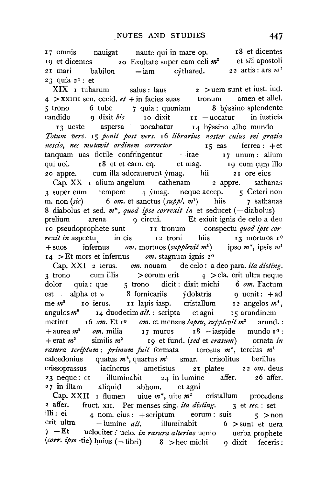<sup>I</sup>7 omnis nauigat naute qui in mare op. 19 et dicentes 20 Exultate super earn celi *m2*  et sci apostoli  $2I$  mari babilon  $-\text{i}$ am cythared. 23 quia 2o: et <sup>I</sup>8 et dicentes  $22$  artis : ars  $m<sup>2</sup>$ 

 $XIX$  I tubarum salus: laus 2 >uera sunt et iust. iud.  $4$  > XXIIII sen. cecid.  $et$  + in facies suas tronum amen et allel. 5 trono 6 tube 7 quia : quoniam 8 byssino splendente candido  $\alpha$  dixit *bis*  $\alpha$  io dixit  $\alpha$  is  $\alpha$  -uocatur in iusticia 13 ueste aspersa uocabatur I4 byssino alba mundo *Totum vers.* I5 *ponit post vers.* I6 *libran"us noster cuius rei gratia nescio, nee mutavit ordinem corrector* I 5 eas ferrea : +et tanquam uas fictile confringentur — irae I7 unum: alium qui uol. I8 et et carn. eq. et mag. I9 cum cum illo 20 appre. cum ilia adorauerunt ymag. hii 2I ore eius Cap. XX I alium angelum cathenam 2 appre. sathanas 3 super eum tempere 4 ymag. neque accep. 5 Ceteri non m. non (sic) 6 om. et sanctus (suppl, m<sup>1</sup>) hiis 7 sathanas m. non  $(sic)$  6 *om.* et sanctus  $(suppl, m<sup>1</sup>)$  hiis 8 diabolus et sed. m<sup>\*</sup>, quod ipse correxit in et seducet (-diabolus) prelium arena 9 circui. Et exiuit ignis de celo a deo 10 pseudoprophete sunt r I tronum conspectu *quod ipse correxit in* aspectu in eis I 2 troni hiis I 3 mortuos i<sup>o</sup> + suos infernus *om*. mortuos (supplevit m<sup>1</sup>) ipso m<sup>\*</sup>, ipsis m<sup>1</sup> I4 >Et mors et infernus *om.* stagnum ignis 2o

Cap. XXI 2 ierus. *om.* nouam de celo : a deo para. *ita disting.*   $3 \text{ trono}$  cum illis > eorum erit  $4$  > cla. erit ultra neque dolor quia: que 5 trono dicit: dixit michi 6 om. Factum est alpha et w 8 fornicariis ydolatris 9 uenit : +ad me *m2* Io ierus. n lapis iasp. cristallum I2 angelos *m\*,*  angulos *m2* I4 duodecim *alt.* : scripta et agni I 5 arundinem metiret 16 *om.* Et ro *om.* et mensus *lapsu, supplevit* m2 arund.: +aurea *m<sup>2</sup> om*. milia 17 muros 18 - iaspide mundo 1<sup>0</sup> : +erat m2 similis m2 I9 et fund. *(sed* et *erasum)* ornata *in rasura scriptum: primum fuit* formata terceus m<sup>\*</sup>, tercius m<sup>1</sup> calcedonius quatus *m\*,* quartus *m'* smar. crisolitus berillus crissoprassus iacinctus ametistus 2 I platee 2 2 *om.* deus 23 neque: et illuminabit 24 in lumine affer. 26 affer. 27 in illam aliquid abhom. et agni

Cap. XXII I flumen uiue  $m^*$ , uite  $m^2$  cristallum procedens a affer. fruct. xII. Per menses sing. *ita disting*. 3 et *sec.* : set 2 affer. fruct. XII. Per menses sing. *ita disting*. 3 et *sec.* : set<br>illi : ei *A* nom eius + scriptum eorum suis illi : ei 4 nom. eius : +scriptum eorum : suis  $5 > \text{non}$ <br>erit ultra – lumine *alt* illuminabit 6 > sunt et uera illuminabit 6 > sunt et uera 7 - Et uelociter : uelo. *in rasura alterius* uenio uerba prophete (corr. ipse -tie) huius (-libri) 8 >hec michi 9 dixit feceris: